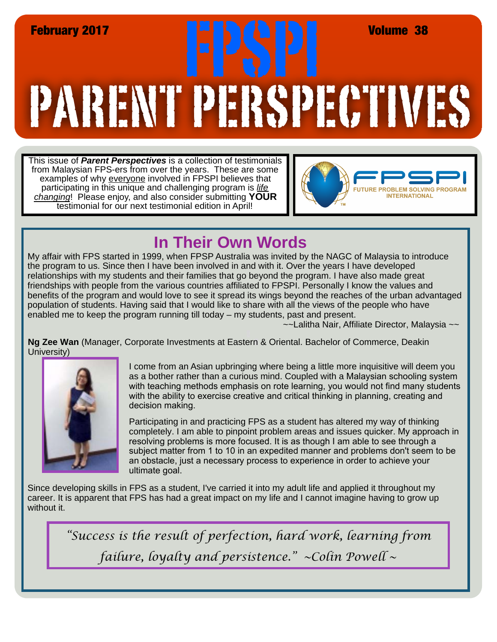## PARENT PERSPECTIVES February 2017<br>
February 2017<br> **Ex. All des Pressures de la partie de la des de la vez de la partie de la partie de la vez de la vez de la vez de la vez de la vez de la vez de la vez de la vez de la vez de la vez de la vez**

This issue of *Parent Perspectives* is a collection of testimonials from Malaysian FPS-ers from over the years. These are some examples of why everyone involved in FPSPI believes that participating in this unique and challenging program is *life changing*! Please enjoy, and also consider submitting **YOUR** testimonial for our next testimonial edition in April!



## **In Their Own Words**

My affair with FPS started in 1999, when FPSP Australia was invited by the NAGC of Malaysia to introduce the program to us. Since then I have been involved in and with it. Over the years I have developed relationships with my students and their families that go beyond the program. I have also made great friendships with people from the various countries affiliated to FPSPI. Personally I know the values and benefits of the program and would love to see it spread its wings beyond the reaches of the urban advantaged population of students. Having said that I would like to share with all the views of the people who have enabled me to keep the program running till today – my students, past and present.

~~Lalitha Nair, Affiliate Director, Malaysia ~~

**Ng Zee Wan** (Manager, Corporate Investments at Eastern & Oriental. Bachelor of Commerce, Deakin University)



I come from an Asian upbringing where being a little more inquisitive will deem you as a bother rather than a curious mind. Coupled with a Malaysian schooling system with teaching methods emphasis on rote learning, you would not find many students with the ability to exercise creative and critical thinking in planning, creating and decision making.

Participating in and practicing FPS as a student has altered my way of thinking completely. I am able to pinpoint problem areas and issues quicker. My approach in resolving problems is more focused. It is as though I am able to see through a subject matter from 1 to 10 in an expedited manner and problems don't seem to be an obstacle, just a necessary process to experience in order to achieve your ultimate goal.

Since developing skills in FPS as a student, I've carried it into my adult life and applied it throughout my career. It is apparent that FPS has had a great impact on my life and I cannot imagine having to grow up without it.

*"Success is the result of perfection, hard work, learning from failure, loyalty and persistence." ~Colin Powell ~*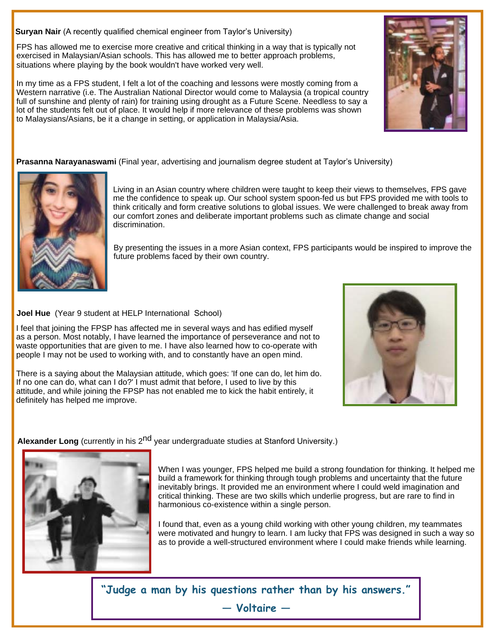**Suryan Nair** (A recently qualified chemical engineer from Taylor's University)

FPS has allowed me to exercise more creative and critical thinking in a way that is typically not exercised in Malaysian/Asian schools. This has allowed me to better approach problems, situations where playing by the book wouldn't have worked very well.

In my time as a FPS student, I felt a lot of the coaching and lessons were mostly coming from a Western narrative (i.e. The Australian National Director would come to Malaysia (a tropical country full of sunshine and plenty of rain) for training using drought as a Future Scene. Needless to say a lot of the students felt out of place. It would help if more relevance of these problems was shown to Malaysians/Asians, be it a change in setting, or application in Malaysia/Asia.

**Prasanna Narayanaswami** (Final year, advertising and journalism degree student at Taylor's University)



Living in an Asian country where children were taught to keep their views to themselves, FPS gave me the confidence to speak up. Our school system spoon-fed us but FPS provided me with tools to think critically and form creative solutions to global issues. We were challenged to break away from our comfort zones and deliberate important problems such as climate change and social discrimination.

By presenting the issues in a more Asian context, FPS participants would be inspired to improve the future problems faced by their own country.

**Joel Hue** (Year 9 student at HELP International School)

I feel that joining the FPSP has affected me in several ways and has edified myself as a person. Most notably, I have learned the importance of perseverance and not to waste opportunities that are given to me. I have also learned how to co-operate with people I may not be used to working with, and to constantly have an open mind.

There is a saying about the Malaysian attitude, which goes: 'If one can do, let him do. If no one can do, what can I do?' I must admit that before, I used to live by this attitude, and while joining the FPSP has not enabled me to kick the habit entirely, it definitely has helped me improve.

**Alexander Long** (currently in his 2<sup>nd</sup> year undergraduate studies at Stanford University.)



When I was younger, FPS helped me build a strong foundation for thinking. It helped me build a framework for thinking through tough problems and uncertainty that the future inevitably brings. It provided me an environment where I could weld imagination and critical thinking. These are two skills which underlie progress, but are rare to find in harmonious co-existence within a single person.

I found that, even as a young child working with other young children, my teammates were motivated and hungry to learn. I am lucky that FPS was designed in such a way so as to provide a well-structured environment where I could make friends while learning.

**"Judge a man by his questions rather than by his answers."** 

**― Voltaire —**



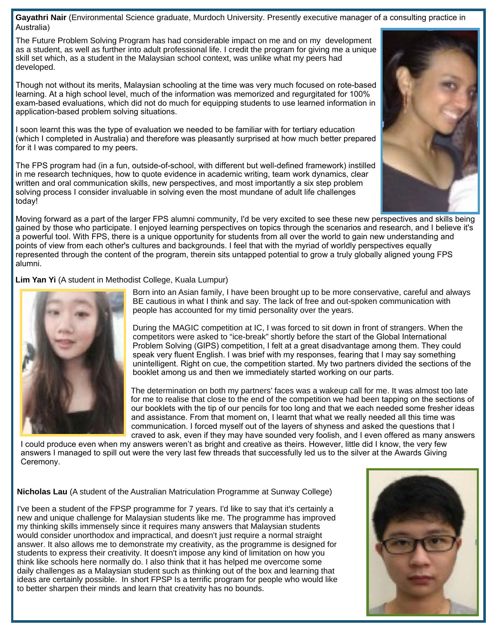**Gayathri Nair** (Environmental Science graduate, Murdoch University. Presently executive manager of a consulting practice in Australia)

The Future Problem Solving Program has had considerable impact on me and on my development as a student, as well as further into adult professional life. I credit the program for giving me a unique skill set which, as a student in the Malaysian school context, was unlike what my peers had developed.

Though not without its merits, Malaysian schooling at the time was very much focused on rote-based learning. At a high school level, much of the information was memorized and regurgitated for 100% exam-based evaluations, which did not do much for equipping students to use learned information in application-based problem solving situations.

I soon learnt this was the type of evaluation we needed to be familiar with for tertiary education (which I completed in Australia) and therefore was pleasantly surprised at how much better prepared for it I was compared to my peers.

The FPS program had (in a fun, outside-of-school, with different but well-defined framework) instilled in me research techniques, how to quote evidence in academic writing, team work dynamics, clear written and oral communication skills, new perspectives, and most importantly a six step problem solving process I consider invaluable in solving even the most mundane of adult life challenges today!

Moving forward as a part of the larger FPS alumni community, I'd be very excited to see these new perspectives and skills being gained by those who participate. I enjoyed learning perspectives on topics through the scenarios and research, and I believe it's a powerful tool. With FPS, there is a unique opportunity for students from all over the world to gain new understanding and points of view from each other's cultures and backgrounds. I feel that with the myriad of worldly perspectives equally represented through the content of the program, therein sits untapped potential to grow a truly globally aligned young FPS alumni.

**Lim Yan Yi** (A student in Methodist College, Kuala Lumpur)



Born into an Asian family, I have been brought up to be more conservative, careful and always BE cautious in what I think and say. The lack of free and out-spoken communication with people has accounted for my timid personality over the years.

During the MAGIC competition at IC, I was forced to sit down in front of strangers. When the competitors were asked to "ice-break" shortly before the start of the Global International Problem Solving (GIPS) competition, I felt at a great disadvantage among them. They could speak very fluent English. I was brief with my responses, fearing that I may say something unintelligent. Right on cue, the competition started. My two partners divided the sections of the booklet among us and then we immediately started working on our parts.

 The determination on both my partners' faces was a wakeup call for me. It was almost too late for me to realise that close to the end of the competition we had been tapping on the sections of our booklets with the tip of our pencils for too long and that we each needed some fresher ideas and assistance. From that moment on, I learnt that what we really needed all this time was communication. I forced myself out of the layers of shyness and asked the questions that I craved to ask, even if they may have sounded very foolish, and I even offered as many answers

I could produce even when my answers weren't as bright and creative as theirs. However, little did I know, the very few answers I managed to spill out were the very last few threads that successfully led us to the silver at the Awards Giving Ceremony.

**Nicholas Lau** (A student of the Australian Matriculation Programme at Sunway College)

I've been a student of the FPSP programme for 7 years. I'd like to say that it's certainly a new and unique challenge for Malaysian students like me. The programme has improved my thinking skills immensely since it requires many answers that Malaysian students would consider unorthodox and impractical, and doesn't just require a normal straight answer. It also allows me to demonstrate my creativity, as the programme is designed for students to express their creativity. It doesn't impose any kind of limitation on how you think like schools here normally do. I also think that it has helped me overcome some daily challenges as a Malaysian student such as thinking out of the box and learning that ideas are certainly possible. In short FPSP Is a terrific program for people who would like to better sharpen their minds and learn that creativity has no bounds.



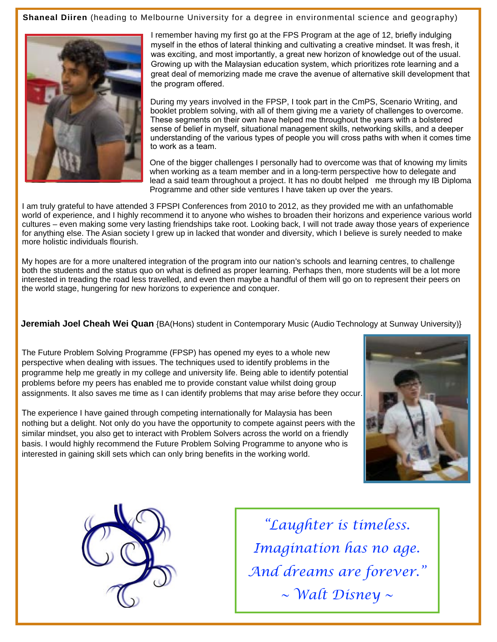**Shaneal Diiren** (heading to Melbourne University for a degree in environmental science and geography)



I remember having my first go at the FPS Program at the age of 12, briefly indulging myself in the ethos of lateral thinking and cultivating a creative mindset. It was fresh, it was exciting, and most importantly, a great new horizon of knowledge out of the usual. Growing up with the Malaysian education system, which prioritizes rote learning and a great deal of memorizing made me crave the avenue of alternative skill development that the program offered.

During my years involved in the FPSP, I took part in the CmPS, Scenario Writing, and booklet problem solving, with all of them giving me a variety of challenges to overcome. These segments on their own have helped me throughout the years with a bolstered sense of belief in myself, situational management skills, networking skills, and a deeper understanding of the various types of people you will cross paths with when it comes time to work as a team.

One of the bigger challenges I personally had to overcome was that of knowing my limits when working as a team member and in a long-term perspective how to delegate and lead a said team throughout a project. It has no doubt helped me through my IB Diploma Programme and other side ventures I have taken up over the years.

I am truly grateful to have attended 3 FPSPI Conferences from 2010 to 2012, as they provided me with an unfathomable world of experience, and I highly recommend it to anyone who wishes to broaden their horizons and experience various world cultures – even making some very lasting friendships take root. Looking back, I will not trade away those years of experience for anything else. The Asian society I grew up in lacked that wonder and diversity, which I believe is surely needed to make more holistic individuals flourish.

My hopes are for a more unaltered integration of the program into our nation's schools and learning centres, to challenge both the students and the status quo on what is defined as proper learning. Perhaps then, more students will be a lot more interested in treading the road less travelled, and even then maybe a handful of them will go on to represent their peers on the world stage, hungering for new horizons to experience and conquer.

**Jeremiah Joel Cheah Wei Quan** {BA(Hons) student in Contemporary Music (Audio Technology at Sunway University)}

The Future Problem Solving Programme (FPSP) has opened my eyes to a whole new perspective when dealing with issues. The techniques used to identify problems in the programme help me greatly in my college and university life. Being able to identify potential problems before my peers has enabled me to provide constant value whilst doing group assignments. It also saves me time as I can identify problems that may arise before they occur.

The experience I have gained through competing internationally for Malaysia has been nothing but a delight. Not only do you have the opportunity to compete against peers with the similar mindset, you also get to interact with Problem Solvers across the world on a friendly basis. I would highly recommend the Future Problem Solving Programme to anyone who is interested in gaining skill sets which can only bring benefits in the working world.





*"Laughter is timeless. Imagination has no age. And dreams are forever." ~ Walt Disney ~*